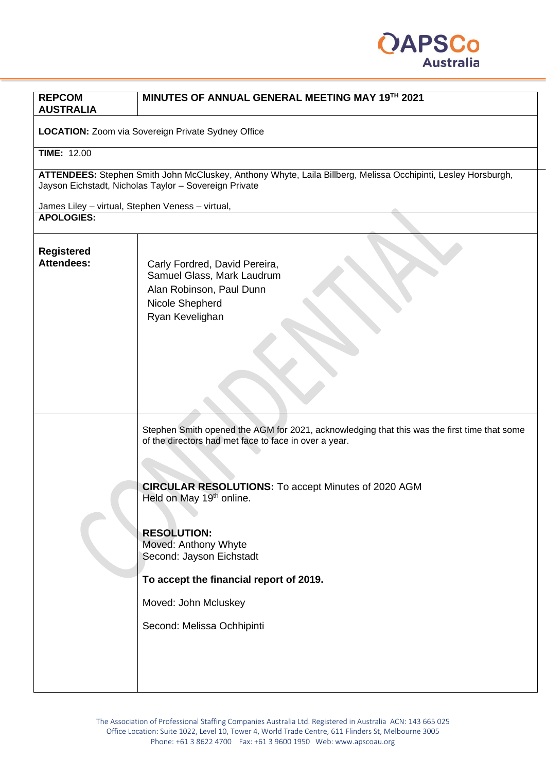

| <b>REPCOM</b><br><b>AUSTRALIA</b>                | MINUTES OF ANNUAL GENERAL MEETING MAY 19TH 2021                                                                                                                                                                                                                                                                                                                                                                                       |
|--------------------------------------------------|---------------------------------------------------------------------------------------------------------------------------------------------------------------------------------------------------------------------------------------------------------------------------------------------------------------------------------------------------------------------------------------------------------------------------------------|
|                                                  |                                                                                                                                                                                                                                                                                                                                                                                                                                       |
|                                                  | <b>LOCATION:</b> Zoom via Sovereign Private Sydney Office                                                                                                                                                                                                                                                                                                                                                                             |
| <b>TIME: 12.00</b>                               |                                                                                                                                                                                                                                                                                                                                                                                                                                       |
|                                                  | ATTENDEES: Stephen Smith John McCluskey, Anthony Whyte, Laila Billberg, Melissa Occhipinti, Lesley Horsburgh,<br>Jayson Eichstadt, Nicholas Taylor - Sovereign Private                                                                                                                                                                                                                                                                |
| James Liley - virtual, Stephen Veness - virtual, |                                                                                                                                                                                                                                                                                                                                                                                                                                       |
| <b>APOLOGIES:</b>                                |                                                                                                                                                                                                                                                                                                                                                                                                                                       |
| <b>Registered</b><br><b>Attendees:</b>           | Carly Fordred, David Pereira,<br>Samuel Glass, Mark Laudrum<br>Alan Robinson, Paul Dunn<br>Nicole Shepherd<br>Ryan Kevelighan                                                                                                                                                                                                                                                                                                         |
|                                                  | Stephen Smith opened the AGM for 2021, acknowledging that this was the first time that some<br>of the directors had met face to face in over a year.<br><b>CIRCULAR RESOLUTIONS:</b> To accept Minutes of 2020 AGM<br>Held on May 19 <sup>th</sup> online.<br><b>RESOLUTION:</b><br>Moved: Anthony Whyte<br>Second: Jayson Eichstadt<br>To accept the financial report of 2019.<br>Moved: John Mcluskey<br>Second: Melissa Ochhipinti |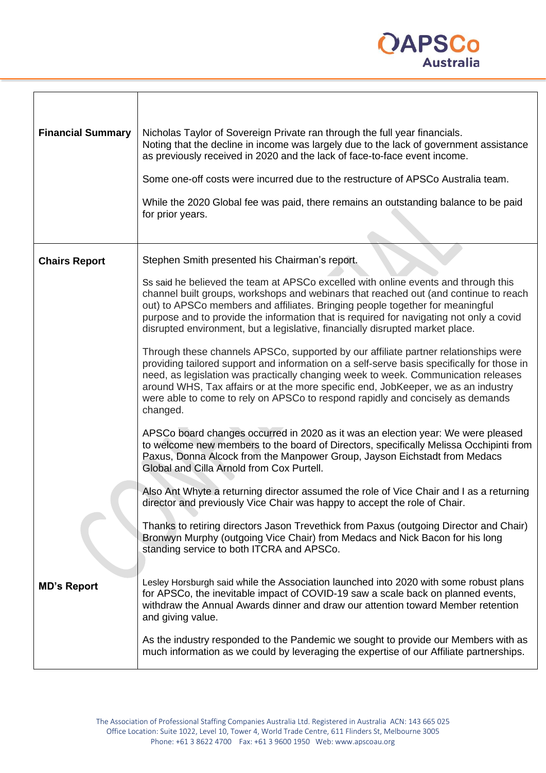

| <b>Financial Summary</b> | Nicholas Taylor of Sovereign Private ran through the full year financials.<br>Noting that the decline in income was largely due to the lack of government assistance<br>as previously received in 2020 and the lack of face-to-face event income.                                                                                                                                                                                                          |
|--------------------------|------------------------------------------------------------------------------------------------------------------------------------------------------------------------------------------------------------------------------------------------------------------------------------------------------------------------------------------------------------------------------------------------------------------------------------------------------------|
|                          | Some one-off costs were incurred due to the restructure of APSCo Australia team.                                                                                                                                                                                                                                                                                                                                                                           |
|                          | While the 2020 Global fee was paid, there remains an outstanding balance to be paid<br>for prior years.                                                                                                                                                                                                                                                                                                                                                    |
|                          |                                                                                                                                                                                                                                                                                                                                                                                                                                                            |
| <b>Chairs Report</b>     | Stephen Smith presented his Chairman's report.                                                                                                                                                                                                                                                                                                                                                                                                             |
|                          | Ss said he believed the team at APSCo excelled with online events and through this<br>channel built groups, workshops and webinars that reached out (and continue to reach<br>out) to APSCo members and affiliates. Bringing people together for meaningful<br>purpose and to provide the information that is required for navigating not only a covid<br>disrupted environment, but a legislative, financially disrupted market place.                    |
|                          | Through these channels APSCo, supported by our affiliate partner relationships were<br>providing tailored support and information on a self-serve basis specifically for those in<br>need, as legislation was practically changing week to week. Communication releases<br>around WHS, Tax affairs or at the more specific end, JobKeeper, we as an industry<br>were able to come to rely on APSCo to respond rapidly and concisely as demands<br>changed. |
|                          | APSCo board changes occurred in 2020 as it was an election year: We were pleased<br>to welcome new members to the board of Directors, specifically Melissa Occhipinti from<br>Paxus, Donna Alcock from the Manpower Group, Jayson Eichstadt from Medacs<br>Global and Cilla Arnold from Cox Purtell.                                                                                                                                                       |
|                          | Also Ant Whyte a returning director assumed the role of Vice Chair and I as a returning<br>director and previously Vice Chair was happy to accept the role of Chair.                                                                                                                                                                                                                                                                                       |
|                          | Thanks to retiring directors Jason Trevethick from Paxus (outgoing Director and Chair)<br>Bronwyn Murphy (outgoing Vice Chair) from Medacs and Nick Bacon for his long<br>standing service to both ITCRA and APSCo.                                                                                                                                                                                                                                        |
| <b>MD's Report</b>       | Lesley Horsburgh said while the Association launched into 2020 with some robust plans<br>for APSCo, the inevitable impact of COVID-19 saw a scale back on planned events,<br>withdraw the Annual Awards dinner and draw our attention toward Member retention<br>and giving value.                                                                                                                                                                         |
|                          | As the industry responded to the Pandemic we sought to provide our Members with as<br>much information as we could by leveraging the expertise of our Affiliate partnerships.                                                                                                                                                                                                                                                                              |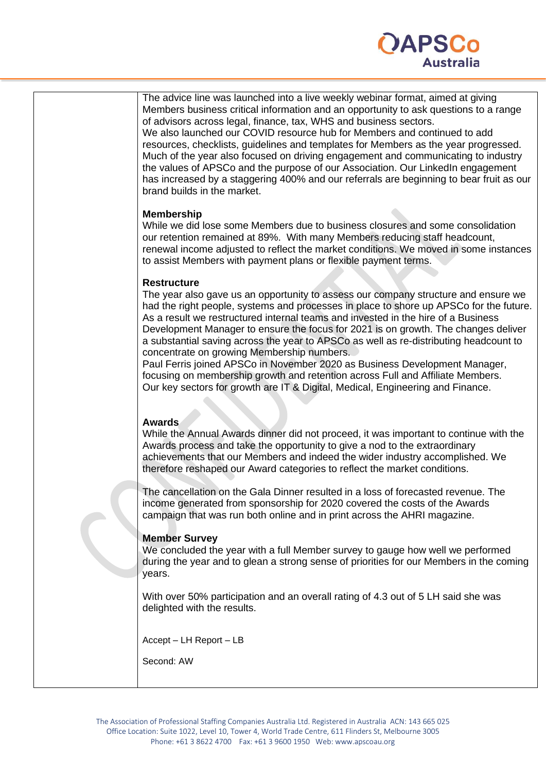

| The advice line was launched into a live weekly webinar format, aimed at giving<br>Members business critical information and an opportunity to ask questions to a range<br>of advisors across legal, finance, tax, WHS and business sectors.<br>We also launched our COVID resource hub for Members and continued to add<br>resources, checklists, guidelines and templates for Members as the year progressed.<br>Much of the year also focused on driving engagement and communicating to industry<br>the values of APSCo and the purpose of our Association. Our LinkedIn engagement<br>has increased by a staggering 400% and our referrals are beginning to bear fruit as our<br>brand builds in the market.                                                      |
|------------------------------------------------------------------------------------------------------------------------------------------------------------------------------------------------------------------------------------------------------------------------------------------------------------------------------------------------------------------------------------------------------------------------------------------------------------------------------------------------------------------------------------------------------------------------------------------------------------------------------------------------------------------------------------------------------------------------------------------------------------------------|
| <b>Membership</b><br>While we did lose some Members due to business closures and some consolidation<br>our retention remained at 89%. With many Members reducing staff headcount,<br>renewal income adjusted to reflect the market conditions. We moved in some instances<br>to assist Members with payment plans or flexible payment terms.                                                                                                                                                                                                                                                                                                                                                                                                                           |
| <b>Restructure</b><br>The year also gave us an opportunity to assess our company structure and ensure we<br>had the right people, systems and processes in place to shore up APSCo for the future.<br>As a result we restructured internal teams and invested in the hire of a Business<br>Development Manager to ensure the focus for 2021 is on growth. The changes deliver<br>a substantial saving across the year to APSCo as well as re-distributing headcount to<br>concentrate on growing Membership numbers.<br>Paul Ferris joined APSCo in November 2020 as Business Development Manager,<br>focusing on membership growth and retention across Full and Affiliate Members.<br>Our key sectors for growth are IT & Digital, Medical, Engineering and Finance. |
| <b>Awards</b><br>While the Annual Awards dinner did not proceed, it was important to continue with the<br>Awards process and take the opportunity to give a nod to the extraordinary<br>achievements that our Members and indeed the wider industry accomplished. We<br>therefore reshaped our Award categories to reflect the market conditions.                                                                                                                                                                                                                                                                                                                                                                                                                      |
| The cancellation on the Gala Dinner resulted in a loss of forecasted revenue. The<br>income generated from sponsorship for 2020 covered the costs of the Awards<br>campaign that was run both online and in print across the AHRI magazine.                                                                                                                                                                                                                                                                                                                                                                                                                                                                                                                            |
| <b>Member Survey</b><br>We concluded the year with a full Member survey to gauge how well we performed<br>during the year and to glean a strong sense of priorities for our Members in the coming<br>years.                                                                                                                                                                                                                                                                                                                                                                                                                                                                                                                                                            |
| With over 50% participation and an overall rating of 4.3 out of 5 LH said she was<br>delighted with the results.                                                                                                                                                                                                                                                                                                                                                                                                                                                                                                                                                                                                                                                       |
| Accept - LH Report - LB<br>Second: AW                                                                                                                                                                                                                                                                                                                                                                                                                                                                                                                                                                                                                                                                                                                                  |